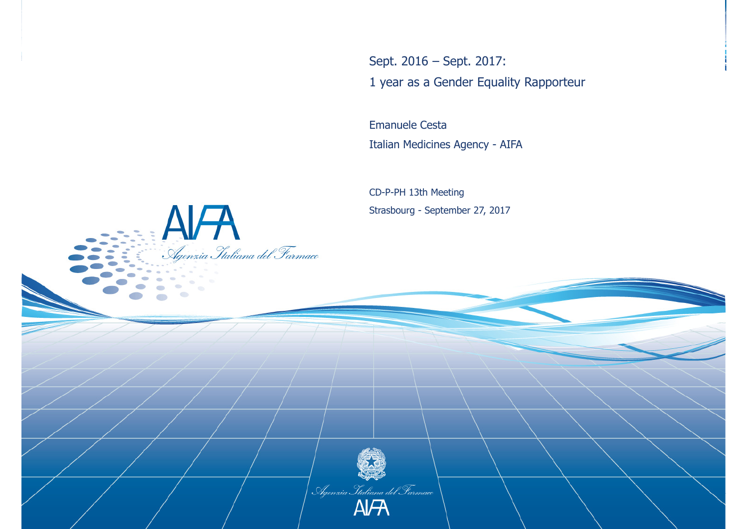Sept. 2016 – Sept. 2017: 1 year as a Gender Equality Rapporteur

Emanuele CestaItalian Medicines Agency - AIFA

CD-P-PH 13th MeetingStrasbourg - September 27, 2017

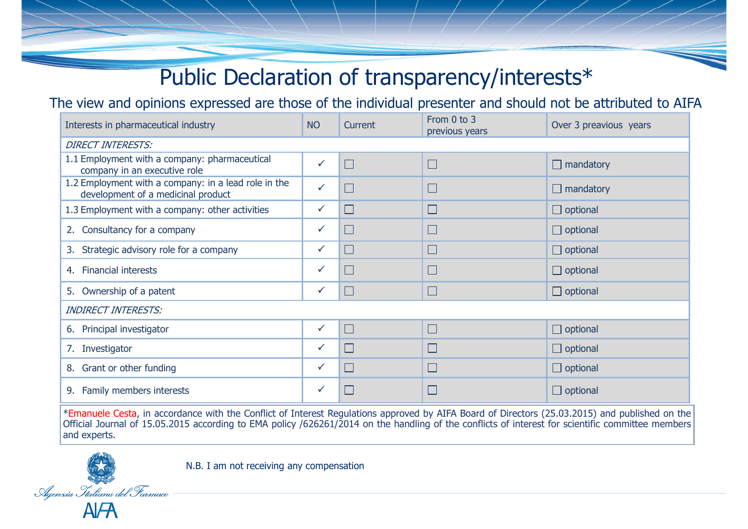# Public Declaration of transparency/interests\*

The view and opinions expressed are those of the individual presenter and should not be attributed to AIFA

| Interests in pharmaceutical industry                                                       | <b>NO</b>    | Current | From 0 to 3<br>previous years | Over 3 preavious years |
|--------------------------------------------------------------------------------------------|--------------|---------|-------------------------------|------------------------|
| <b>DIRECT INTERESTS:</b>                                                                   |              |         |                               |                        |
| 1.1 Employment with a company: pharmaceutical<br>company in an executive role              | $\checkmark$ | $\Box$  | $\blacksquare$                | $\Box$ mandatory       |
| 1.2 Employment with a company: in a lead role in the<br>development of a medicinal product |              | $\Box$  | $\blacksquare$                | $\Box$ mandatory       |
| 1.3 Employment with a company: other activities                                            | $\checkmark$ | $\Box$  | u                             | $\Box$ optional        |
| 2. Consultancy for a company                                                               | $\checkmark$ | $\Box$  | <u>e d</u>                    | $\Box$ optional        |
| 3. Strategic advisory role for a company                                                   | ✓            | $\Box$  |                               | $\Box$ optional        |
| 4. Financial interests                                                                     | ✓            | $\Box$  |                               | $\Box$ optional        |
| 5. Ownership of a patent                                                                   | $\checkmark$ | $\Box$  | $\Box$                        | $\Box$ optional        |
| <b>INDIRECT INTERESTS:</b>                                                                 |              |         |                               |                        |
| 6. Principal investigator                                                                  | $\checkmark$ | $\Box$  | $\Box$                        | $\Box$ optional        |
| 7. Investigator                                                                            | ✓            | $\Box$  | I.                            | $\Box$ optional        |
| 8. Grant or other funding                                                                  | $\checkmark$ | $\Box$  | $\blacksquare$                | $\Box$ optional        |
| 9. Family members interests                                                                | ✓            | H       |                               | $\Box$ optional        |

\*Emanuele Cesta, in accordance with the Conflict of Interest Regulations approved by AIFA Board of Directors (25.03.2015) and published on the Official Journal of 15.05.2015 according to EMA policy /626261/2014 on the handling of the conflicts of interest for scientific committee members and experts.



N.B. I am not receiving any compensation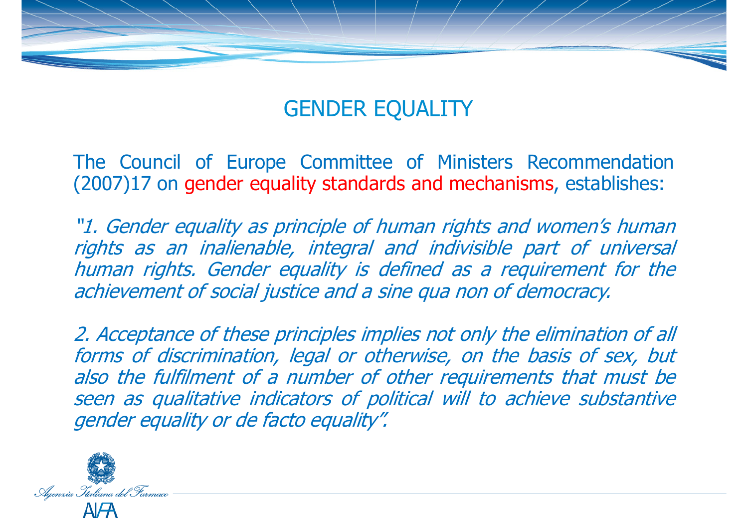

# GENDER EQUALITY

The Council of Europe Committee of Ministers Recommendation (2007)17 on gender equality standards and mechanisms , establishes:

"1. Gender equality as principle of human rights and women's human rights as an inalienable, integral and indivisible part of universal human rights. Gender equality is defined as <sup>a</sup> requirement for the achievement of social justice and <sup>a</sup> sine qua non of democracy.

2. Acceptance of these principles implies not only the elimination of all forms of discrimination, legal or otherwise, on the basis of sex, but also the fulfilment of <sup>a</sup> number of other requirements that must be seen as qualitative indicators of political will to achieve substantive gender equality or de facto equality".

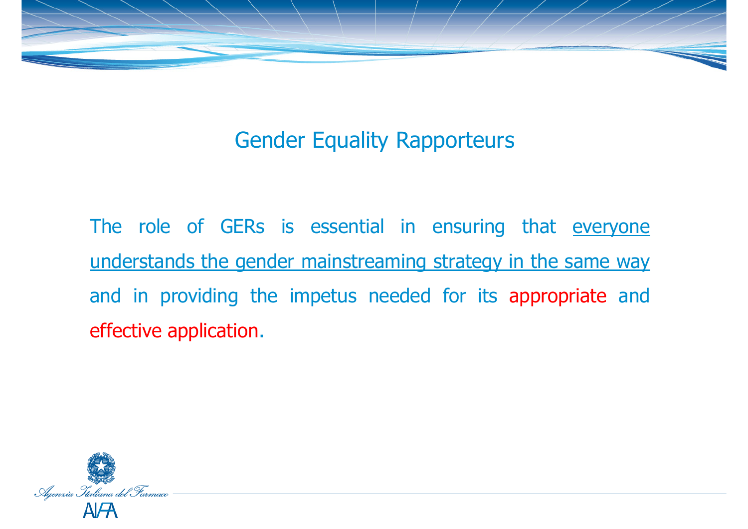

# Gender Equality Rapporteurs

The role of GERs is essential in ensuring that everyone understands the gender mainstreaming strategy in the same way and in providing the impetus needed for its appropriate and effective application.

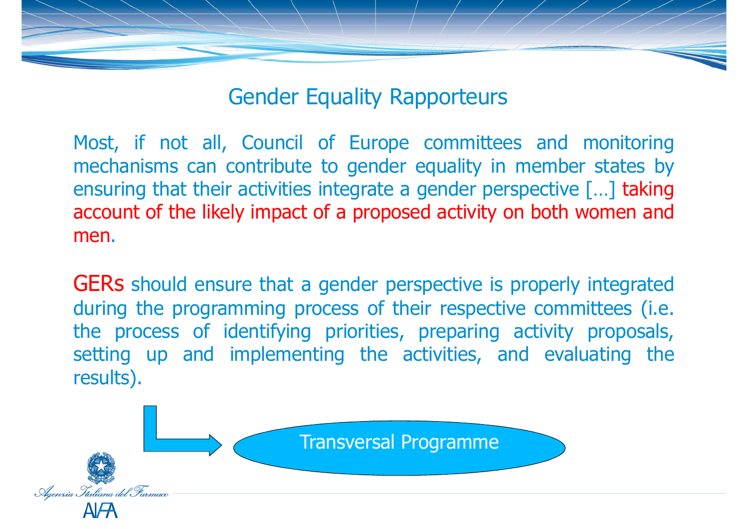### Gender Equality Rapporteurs

Most, if not all, Council of Europe committees and monitoring mechanisms can contribute to gender equality in member states by ensuring that their activities integrate <sup>a</sup> gender perspective […] taking account of the likely impact of <sup>a</sup> proposed activity on both women and men.

GERs should ensure that a gender perspective is properly integrated<br>during the programming process of their respective committees (i.e. during the programming process of their respective committees (i.e. the process of identifying priorities, preparing activity proposals, setting up and implementing the activities, and evaluating the results).

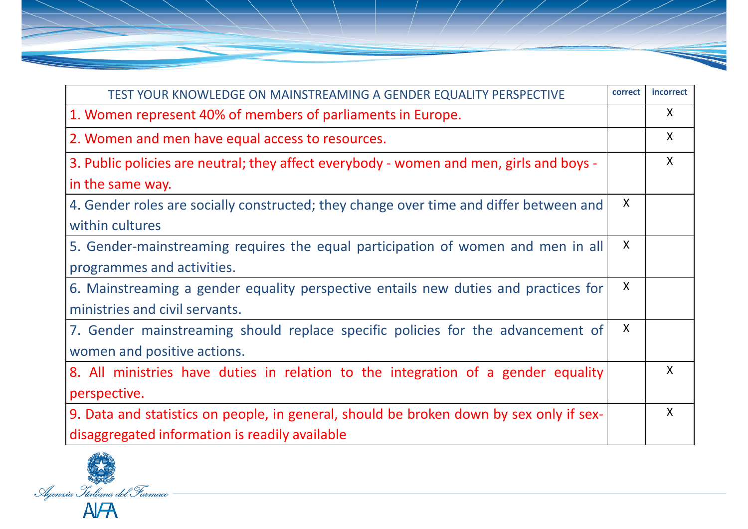| TEST YOUR KNOWLEDGE ON MAINSTREAMING A GENDER EQUALITY PERSPECTIVE                      | correct      | incorrect    |
|-----------------------------------------------------------------------------------------|--------------|--------------|
| 1. Women represent 40% of members of parliaments in Europe.                             |              | X            |
| 2. Women and men have equal access to resources.                                        |              | $\mathsf{X}$ |
| 3. Public policies are neutral; they affect everybody - women and men, girls and boys - |              | $\mathsf{X}$ |
| in the same way.                                                                        |              |              |
| 4. Gender roles are socially constructed; they change over time and differ between and  | X            |              |
| within cultures                                                                         |              |              |
| 5. Gender-mainstreaming requires the equal participation of women and men in all        | $\sf X$      |              |
| programmes and activities.                                                              |              |              |
| 6. Mainstreaming a gender equality perspective entails new duties and practices for     | X            |              |
| ministries and civil servants.                                                          |              |              |
| 7. Gender mainstreaming should replace specific policies for the advancement of         | $\mathsf{X}$ |              |
| women and positive actions.                                                             |              |              |
| 8. All ministries have duties in relation to the integration of a gender equality       |              | X.           |
| perspective.                                                                            |              |              |
| 9. Data and statistics on people, in general, should be broken down by sex only if sex- |              | $\mathsf{X}$ |
| disaggregated information is readily available                                          |              |              |

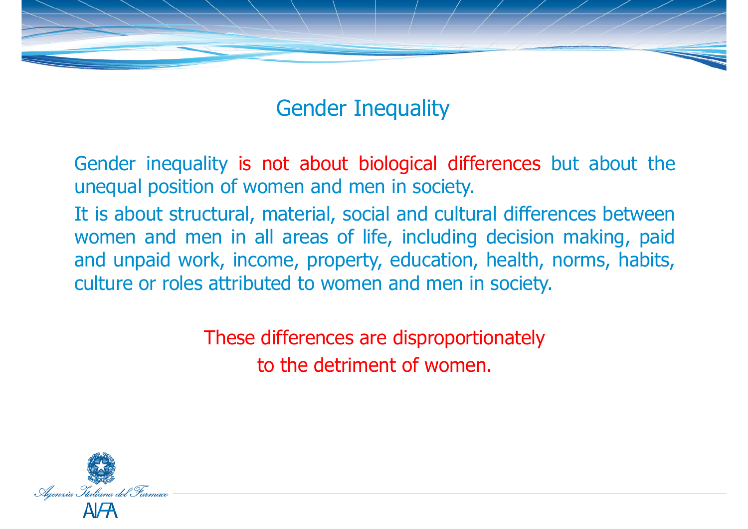

### Gender Inequality

Gender inequality is not about biological differences but about the unequal position of women and men in society.

It is about structural, material, social and cultural differences between women and men in all areas of life, including decision making, paid and unpaid work, income, property, education, health, norms, habits, culture or roles attributed to women and men in society.

> These differences are disproportionately to the detriment of women.

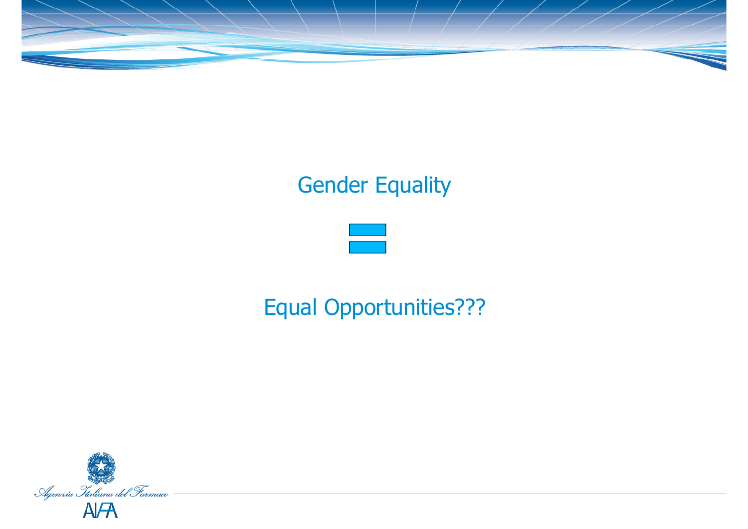

# Gender Equality



# Equal Opportunities???

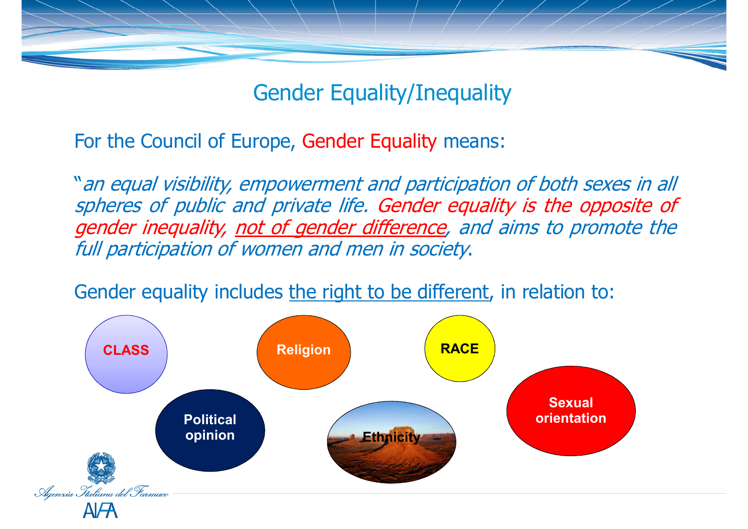

Gender Equality/Inequality

For the Council of Europe, Gender Equality means:

"an equal visibility, empowerment and participation of both sexes in all spheres of public and private life. Gender equality is the opposite of<br>gender inequality, not of gender difference, and aims to promote the gender inequality, <u>not of gender difference</u>, and aims to promote the<br>full participation of women and men in society. full participation of women and men in society.

Gender equality includes the right to be different, in relation to:

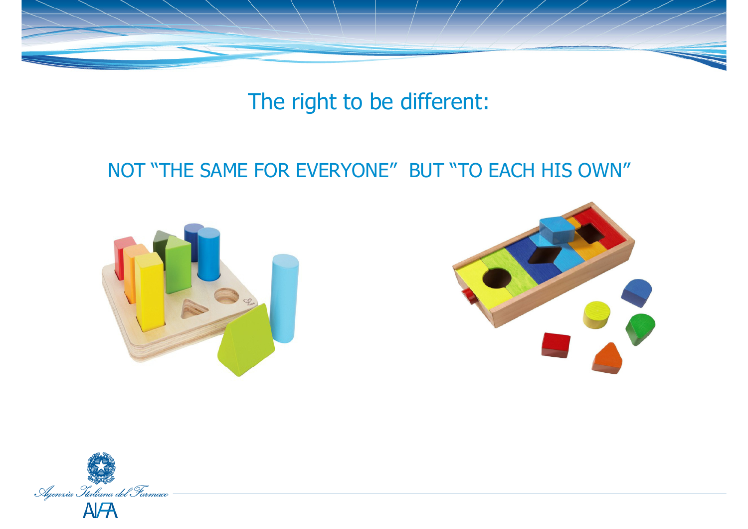

The right to be different:

#### NOT "THE SAME FOR EVERYONE" BUT "TO EACH HIS OWN"





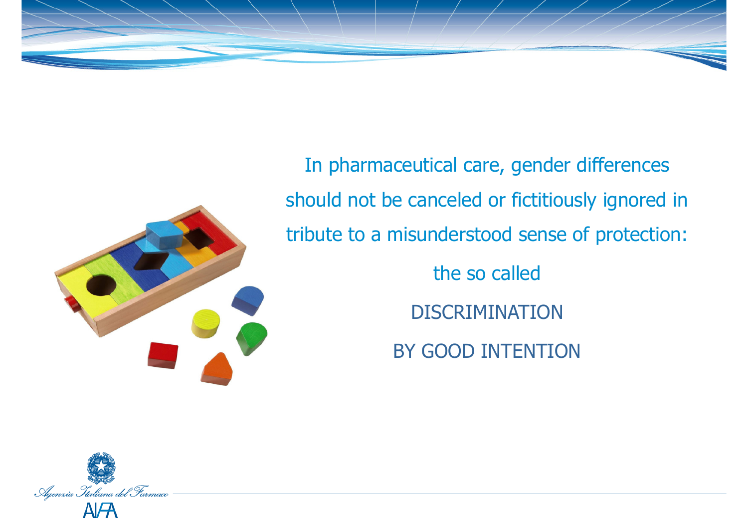



In pharmaceutical care, gender differences should not be canceled or fictitiously ignored in tribute to a misunderstood sense of protection: the so called

**DISCRIMINATION** 

BY GOOD INTENTION

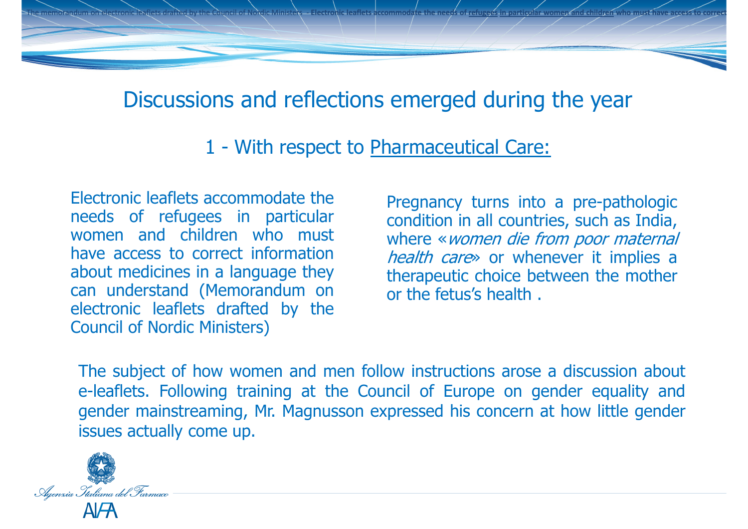#### Discussions and reflections emerged during the year

The memorandum on electronic leaflets drafted by the Council of Nordic Ministers - Electronic leaflets accommodate the needs of <u>refugees in particular women and children</u>

1 - With respect to Pharmaceutical Care:

Electronic leaflets accommodate the needs of refugees in particular<br>women and children who must women and children who must<br>have access to correct information have access to correct information<br>about medicines in a language they about medicines in <sup>a</sup> language they can understand (Memorandum on electronic leaflets drafted by the Council of Nordic Ministers)

Pregnancy turns into <sup>a</sup> pre-pathologic condition in all countries, such as India, where «women die from poor maternal health care» or whenever it implies a therapeutic choice between the mother or the fetus's health .

**who must have access to correct information about m**

The subject of how women and men follow instructions arose <sup>a</sup> discussion about e-leaflets. Following training at the Council of Europe on gender equality and gender mainstreaming, Mr. Magnusson expressed his concern at how little gender issues actually come up.

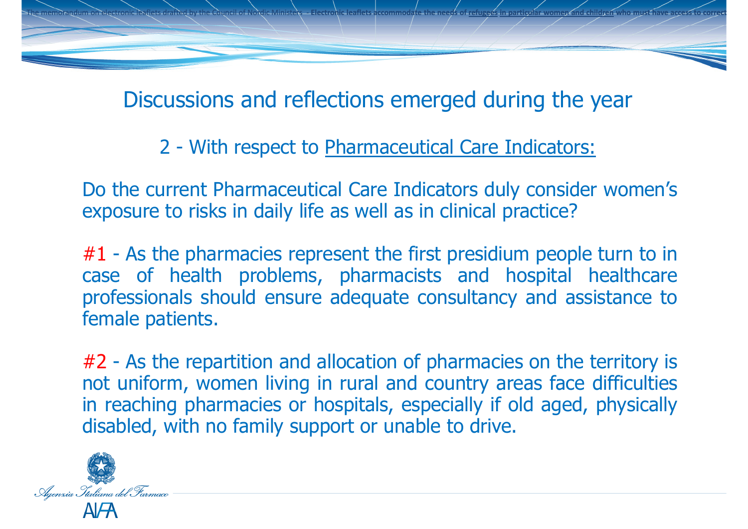Discussions and reflections emerged during the year

**who must have access to correct information about m**

The memorandum on electronic leaflets drafted by the Council of Nordic Ministers - Electronic leaflets accommodate the needs of <u>refugees in particular women and children</u>

2 - With respect to Pharmaceutical Care Indicators:

Do the current Pharmaceutical Care Indicators duly consider women's exposure to risks in daily life as well as in clinical practice?

#1 - As the pharmacies represent the first presidium people turn to in<br>case of health problems, pharmacists and hospital healthcare case of health problems, pharmacists and hospital healthcare professionals should ensure adequate consultancy and assistance to female patients.

#2 - As the repartition and allocation of pharmacies on the territory is not uniform, women living in rural and country areas face difficulties<br>in reaching pharmacies or hospitals, especially if old aged, physically in reaching pharmacies or hospitals, especially if old aged, physically disabled, with no family support or unable to drive.

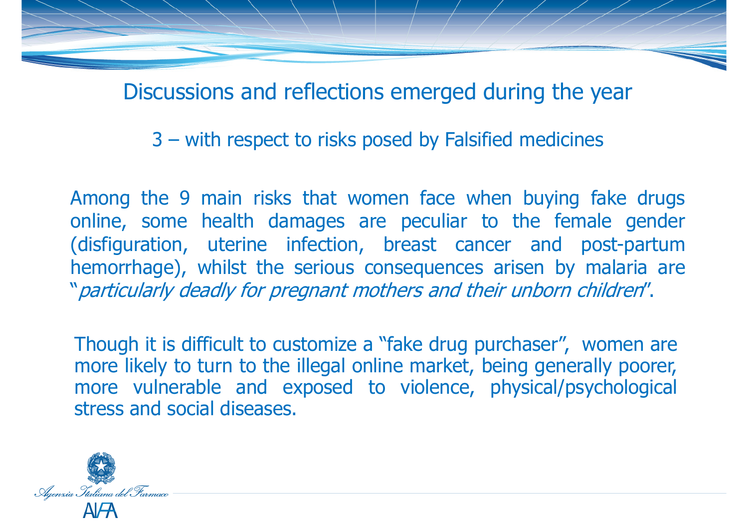Discussions and reflections emerged during the year

3 – with respect to risks posed by Falsified medicines

Among the <sup>9</sup> main risks that women face when buying fake drugs online, some health damages are peculiar to the female gender (disfiguration, uterine infection, breast cancer and post-partum hemorrhage), whilst the serious consequences arisen by malaria are "particularly deadly for pregnant mothers and their unborn children".

Though it is difficult to customize a "fake drug purchaser", women are more likely to turn to the illegal online market, being generally poorer, more vulnerable and exposed to violence, physical/psychological stress and social diseases.

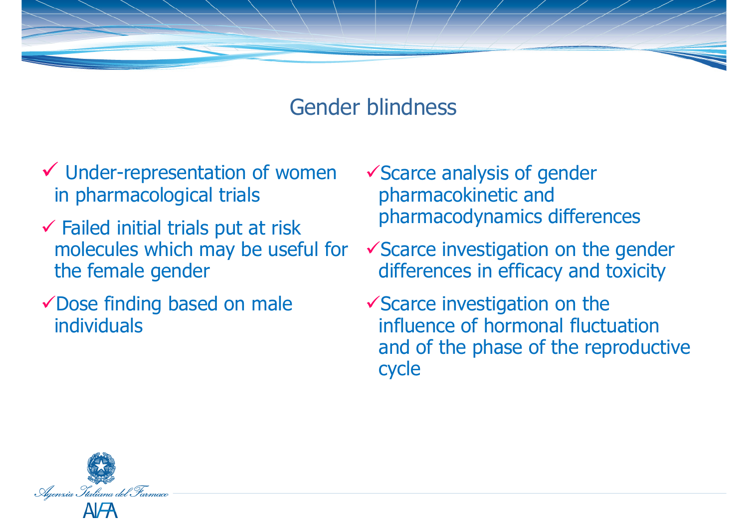

#### Gender blindness

- $\checkmark$  Under-representation of women  $\checkmark$  Scarce analysis of gender in pharmacological trials in pharmacological trials
- **∕ Failed initial trials put at risk**<br>melecules which may be usefu molecules which may be useful for the female gender
- Dose finding based on male individuals
- pharmacokinetic and pharmacodynamics differences
- $\checkmark$  Scarce investigation on the gender differences in efficacy and toxicity
- $\checkmark$  Scarce investigation on the influence of hormonal fluctuation and of the phase of the reproductive cycle

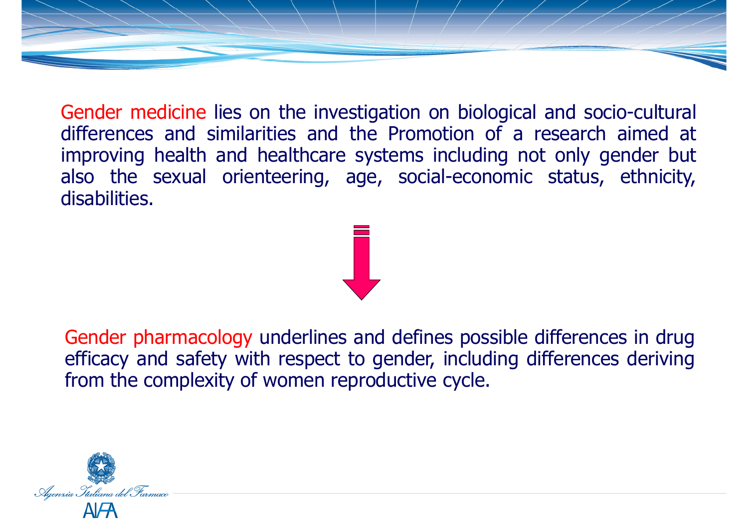Gender medicine lies on the investigation on biological and socio-cultural differences and similarities and the Promotion of <sup>a</sup> research aimed at improving health and healthcare systems including not only gender but also the sexual orienteering, age, social-economic status, ethnicity, disabilities.

Gender pharmacology underlines and defines possible differences in drug efficacy and safety with respect to gender, including differences deriving from the complexity of women reproductive cycle.

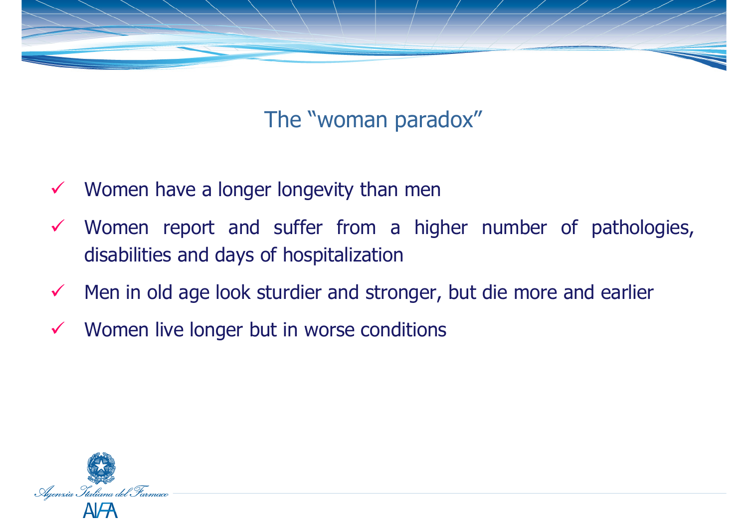

## The "woman paradox"

- $\sqrt{2}$ Women have a longer longevity than men
- $\checkmark$  Women report and suffer from <sup>a</sup> higher number of pathologies, disabilities and days of hospitalization
- $\checkmark$ Men in old age look sturdier and stronger, but die more and earlier
- $\checkmark$ Women live longer but in worse conditions

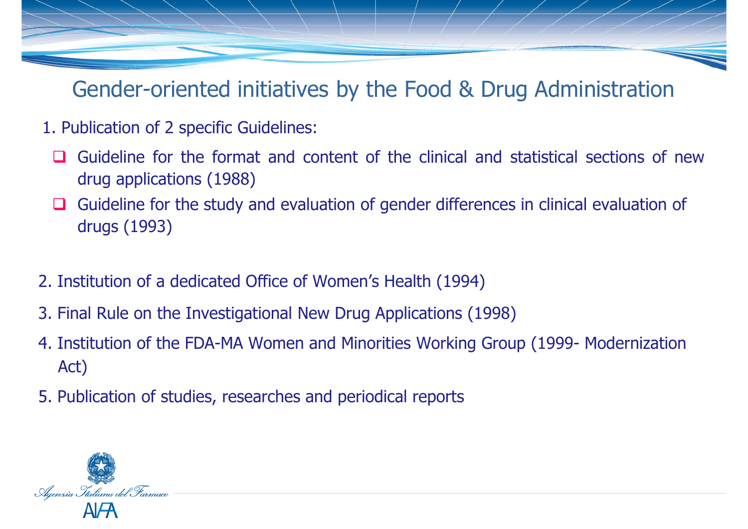Gender-oriented initiatives by the Food & Drug Administration

- 1. Publication of 2 specific Guidelines:
	- Guideline for the format and content of the clinical and statistical sections of new<br>drug applications (1988) drug applications (1988)
	- ப Guideline for the study and evaluation of gender differences in clinical evaluation of drugs (1993)
- 2. Institution of a dedicated Office of Women's Health (1994)
- 3. Final Rule on the Investigational New Drug Applications (1998)
- 4. Institution of the FDA-MA Women and Minorities Working Group (1999- Modernization Act)
- 5. Publication of studies, researches and periodical reports

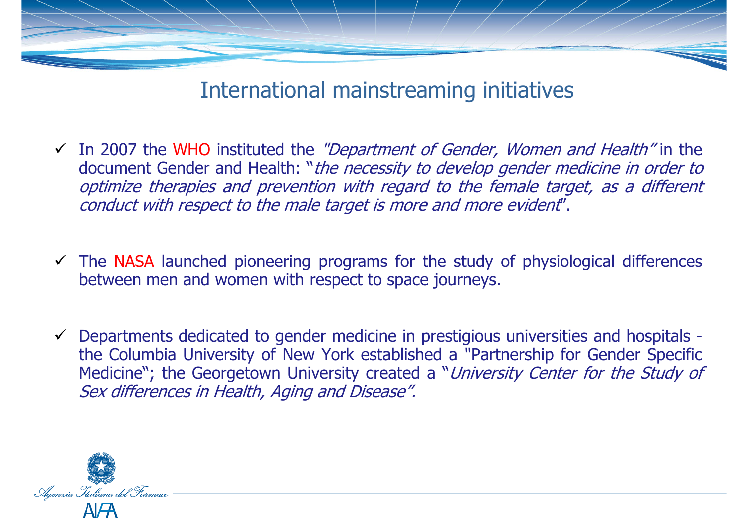

#### International mainstreaming initiatives

- In 2007 the WHO instituted the *"Department of Gender, Women and Health"* in the<br>document Gender and Health: "*the necessity to develop gender medicine in order to* document Gender and Health: "the necessity to develop gender medicine in order to optimize therapies and prevention with regard to the female target, as a different conduct with respect to the male target is more and more evident".
- $\checkmark$  The NASA launched pioneering programs for the study of physiological differences<br>hetween men and women with respect to space journeys. between men and women with respect to space journeys.
- $\checkmark$  Departments dedicated to gender medicine in prestigious universities and hospitals the Columbia University of New York established a "Partnership for Gender Specific<br>Medicine": the Ceerasteryn University created a "*University Center for the Study e*t Medicine"; the Georgetown University created a "*University Center for the Study of* Sex differences in Health, Aging and Disease".

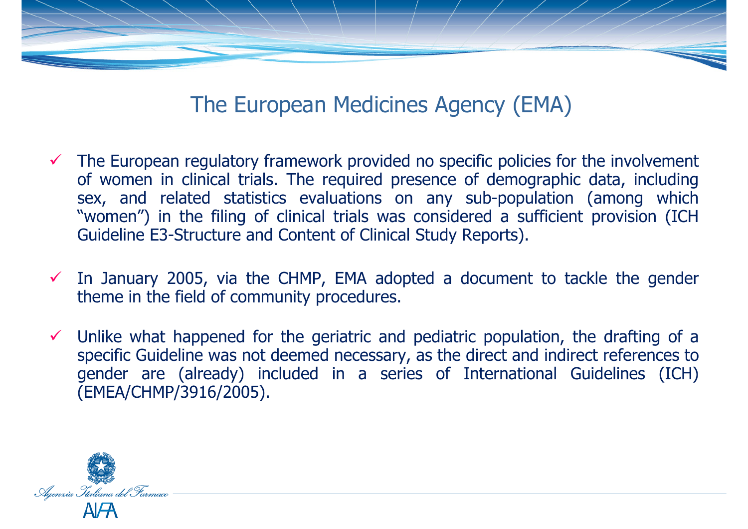

### The European Medicines Agency (EMA)

- The European regulatory framework provided no specific policies for the involvement<br>of women in clinical trials. The required presence of demographic data, including of women in clinical trials. The required presence of demographic data, including sex, and related statistics evaluations on any sub-population (among which "women") in the filing of clinical trials was considered <sup>a</sup> sufficient provision (ICH Guideline E3-Structure and Content of Clinical Study Reports).
- In January 2005, via the CHMP, EMA adopted a document to tackle the gender<br>theme in the field of community procedures. theme in the field of community procedures.
- $\checkmark$  Unlike what happened for the geriatric and pediatric population, the drafting of a<br>specific Guideline was not deemed necessary, as the direct and indirect references to specific Guideline was not deemed necessary, as the direct and indirect references to gender are (already) included in <sup>a</sup> series of International Guidelines (ICH) (EMEA/CHMP/3916/2005).

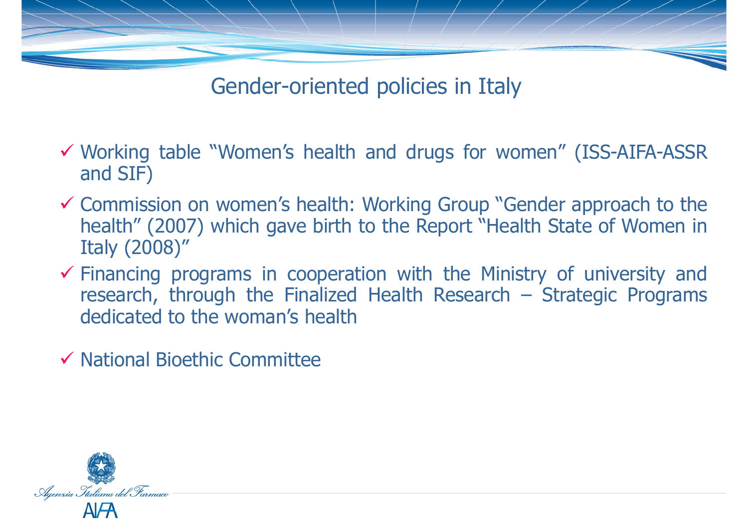

Gender-oriented policies in Italy

- Working table "Women's health and drugs for women" (ISS-AIFA-ASSR and SIF)
- Commission on women's health: Working Group "Gender approach to the<br>health" (2007) which gave birth to the Report "Health State of Women in health" (2007) which gave birth to the Report "Health State of Women in Italy (2008)"
- $\checkmark$  Financing programs in cooperation with the Ministry of university and<br>research, through the Finalized Health Research Strategic Programs research, through the Finalized Health Research – Strategic Programs dedicated to the woman's health
- $\checkmark$  National Bioethic Committee

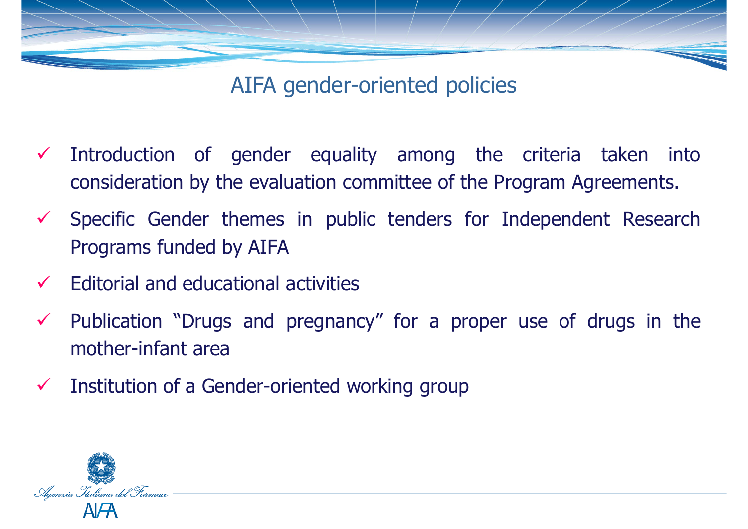

AIFA gender-oriented policies

- $\checkmark$  Introduction of gender equality among the criteria taken into consideration by the evaluation committee of the Program Agreements.
- $\checkmark$  Specific Gender themes in public tenders for Independent Research Programs funded by AIFA
- $\checkmark$ Editorial and educational activities
- $\checkmark$  Publication "Drugs and pregnancy" for <sup>a</sup> proper use of drugs in the mother-infant area
- $\checkmark$ Institution of <sup>a</sup> Gender-oriented working group

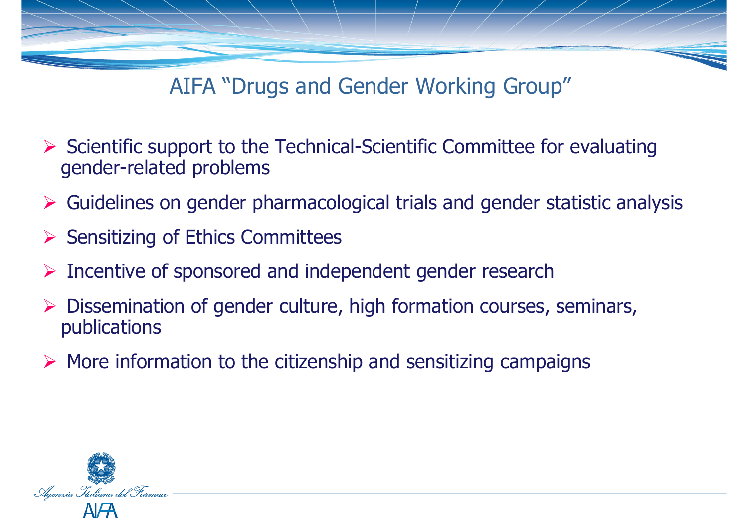

AIFA "Drugs and Gender Working Group"

- Scientific support to the Technical-Scientific Committee for evaluating<br>conder-related problems gender-related problems
- Guidelines on gender pharmacological trials and gender statistic analysis
- Sensitizing of Ethics Committees
- $\blacktriangleright$ Incentive of sponsored and independent gender research
- $\triangleright$  Dissemination of gender culture, high formation courses, seminars, publications publications
- $\triangleright$  More information to the citizenship and sensitizing campaigns

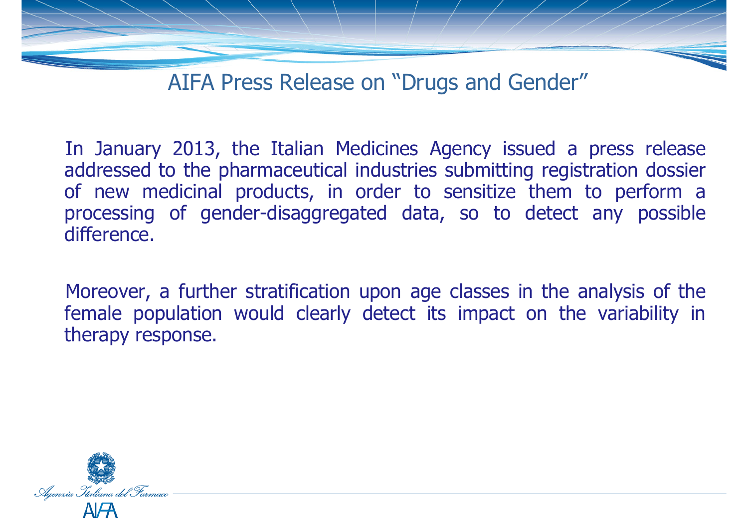

AIFA Press Release on "Drugs and Gender"

In January 2013, the Italian Medicines Agency issued <sup>a</sup> press release addressed to the pharmaceutical industries submitting registration dossier of new medicinal products, in order to sensitize them to perform aprocessing of gender-disaggregated data, so to detect any possible<br>difference difference.

Moreover, <sup>a</sup> further stratification upon age classes in the analysis of the female population would clearly detect its impact on the variability in therapy response.

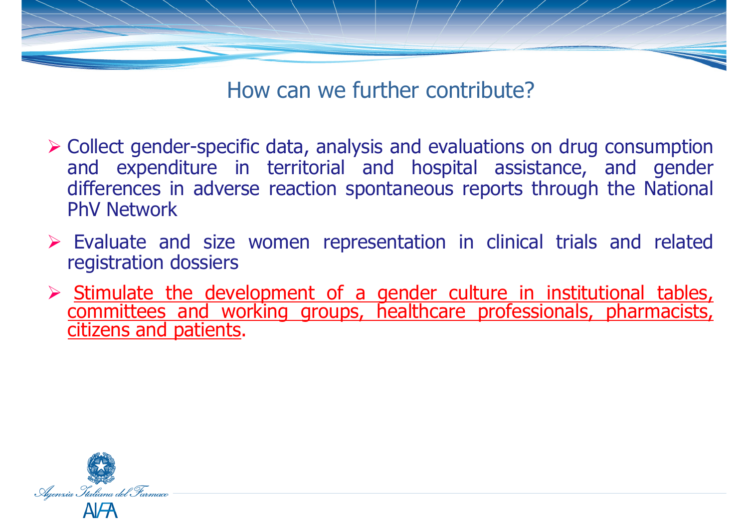

How can we further contribute?

- $\triangleright$  Collect gender-specific data, analysis and evaluations on drug consumption<br>and expenditure in territorial and hospital assistance, and gender and expenditure in territorial and hospital assistance, and gender differences in adverse reaction spontaneous reports through the National PhV Network
- $\triangleright$  Evaluate and size women representation in clinical trials and related requistration dossiers registration dossiers
- Stimulate the development of a gender culture in institutional tables, committees and working groups, healthcare professionals, pharmacists, citizens and patients.

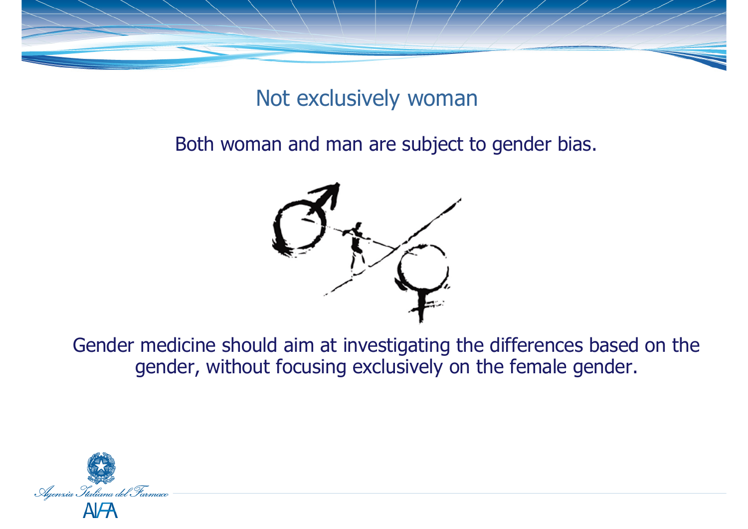

## Not exclusively woman

Both woman and man are subject to gender bias.



Gender medicine should aim at investigating the differences based on the gender, without focusing exclusively on the female gender.

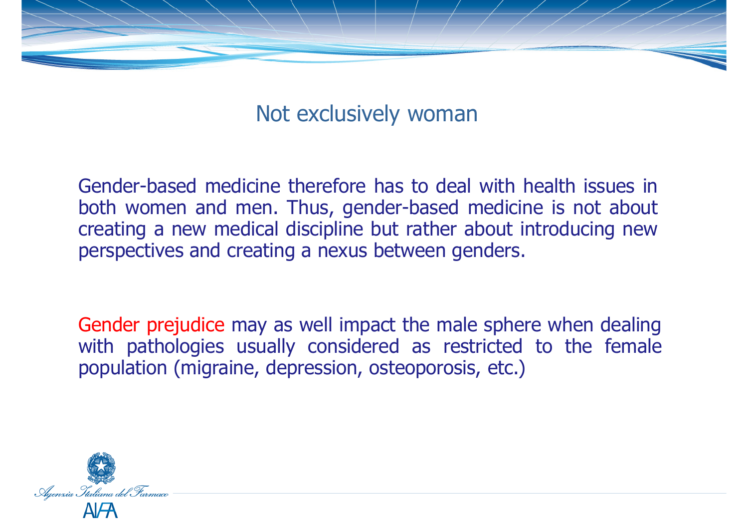

Not exclusively woman

Gender-based medicine therefore has to deal with health issues in both women and men. Thus, gender-based medicine is not about creating <sup>a</sup> new medical discipline but rather about introducing new perspectives and creating <sup>a</sup> nexus between genders.

Gender prejudice may as well impact the male sphere when dealing with pathologies usually considered as restricted to the female population (migraine, depression, osteoporosis, etc.)

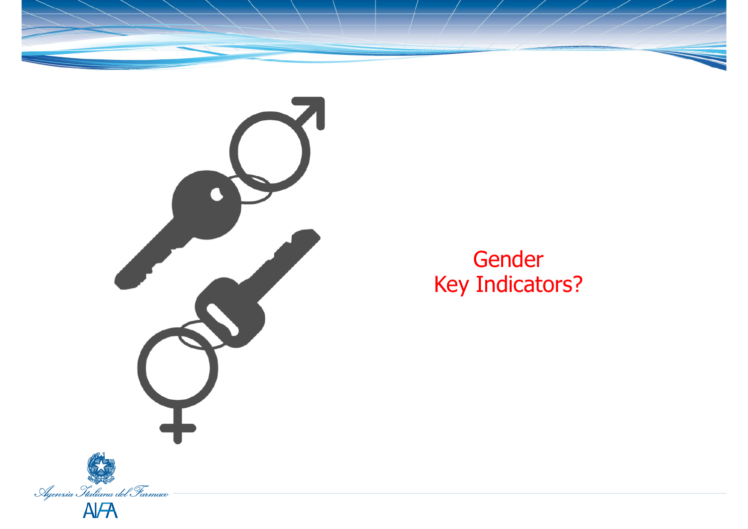



GenderKey Indicators?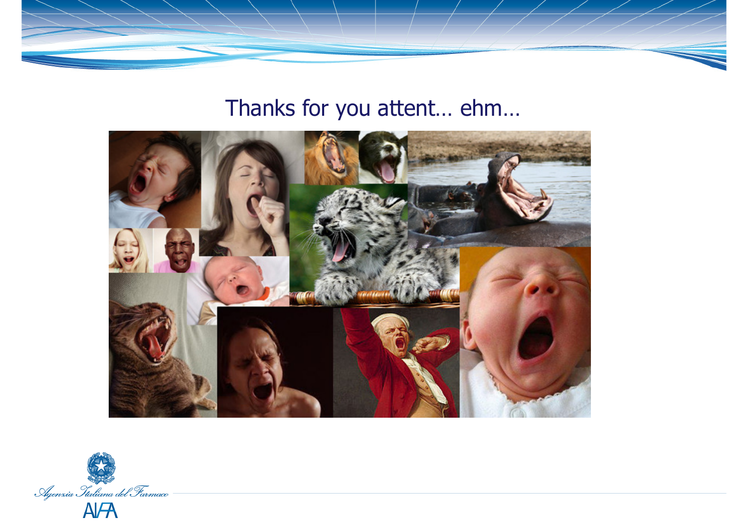

## Thanks for you attent… ehm…